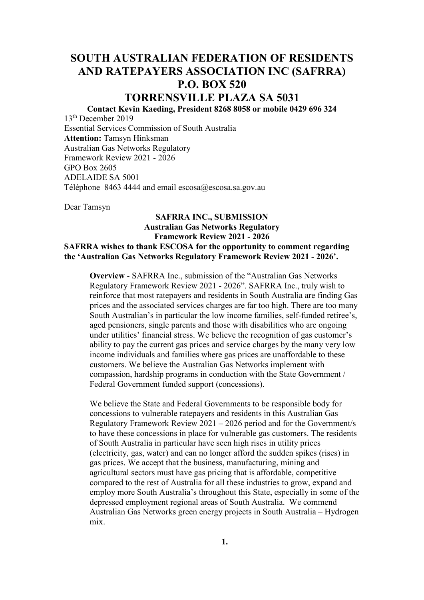# **SOUTH AUSTRALIAN FEDERATION OF RESIDENTS AND RATEPAYERS ASSOCIATION INC (SAFRRA) P.O. BOX 520**

# **TORRENSVILLE PLAZA SA 5031**

**Contact Kevin Kaeding, President 8268 8058 or mobile 0429 696 324**

13th December 2019 Essential Services Commission of South Australia **Attention:** Tamsyn Hinksman Australian Gas Networks Regulatory Framework Review 2021 - 2026 GPO Box 2605 ADELAIDE SA 5001 Téléphone 8463 4444 and email escosa@escosa.sa.gov.au

Dear Tamsyn

## **SAFRRA INC., SUBMISSION Australian Gas Networks Regulatory Framework Review 2021 - 2026**

**SAFRRA wishes to thank ESCOSA for the opportunity to comment regarding the 'Australian Gas Networks Regulatory Framework Review 2021 - 2026'.**

**Overview** - SAFRRA Inc., submission of the "Australian Gas Networks Regulatory Framework Review 2021 - 2026". SAFRRA Inc., truly wish to reinforce that most ratepayers and residents in South Australia are finding Gas prices and the associated services charges are far too high. There are too many South Australian's in particular the low income families, self-funded retiree's, aged pensioners, single parents and those with disabilities who are ongoing under utilities' financial stress. We believe the recognition of gas customer's ability to pay the current gas prices and service charges by the many very low income individuals and families where gas prices are unaffordable to these customers. We believe the Australian Gas Networks implement with compassion, hardship programs in conduction with the State Government / Federal Government funded support (concessions).

We believe the State and Federal Governments to be responsible body for concessions to vulnerable ratepayers and residents in this Australian Gas Regulatory Framework Review 2021 – 2026 period and for the Government/s to have these concessions in place for vulnerable gas customers. The residents of South Australia in particular have seen high rises in utility prices (electricity, gas, water) and can no longer afford the sudden spikes (rises) in gas prices. We accept that the business, manufacturing, mining and agricultural sectors must have gas pricing that is affordable, competitive compared to the rest of Australia for all these industries to grow, expand and employ more South Australia's throughout this State, especially in some of the depressed employment regional areas of South Australia. We commend Australian Gas Networks green energy projects in South Australia – Hydrogen mix.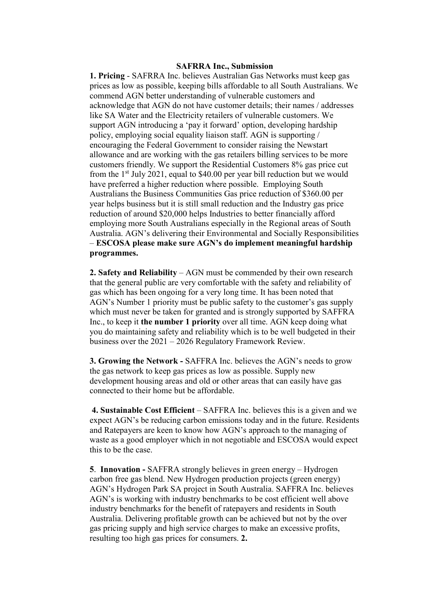### **SAFRRA Inc., Submission**

**1. Pricing** - SAFRRA Inc. believes Australian Gas Networks must keep gas prices as low as possible, keeping bills affordable to all South Australians. We commend AGN better understanding of vulnerable customers and acknowledge that AGN do not have customer details; their names / addresses like SA Water and the Electricity retailers of vulnerable customers. We support AGN introducing a 'pay it forward' option, developing hardship policy, employing social equality liaison staff. AGN is supporting / encouraging the Federal Government to consider raising the Newstart allowance and are working with the gas retailers billing services to be more customers friendly. We support the Residential Customers 8% gas price cut from the  $1<sup>st</sup>$  July 2021, equal to \$40.00 per year bill reduction but we would have preferred a higher reduction where possible. Employing South Australians the Business Communities Gas price reduction of \$360.00 per year helps business but it is still small reduction and the Industry gas price reduction of around \$20,000 helps Industries to better financially afford employing more South Australians especially in the Regional areas of South Australia. AGN's delivering their Environmental and Socially Responsibilities – **ESCOSA please make sure AGN's do implement meaningful hardship programmes.** 

**2. Safety and Reliability** – AGN must be commended by their own research that the general public are very comfortable with the safety and reliability of gas which has been ongoing for a very long time. It has been noted that AGN's Number 1 priority must be public safety to the customer's gas supply which must never be taken for granted and is strongly supported by SAFFRA Inc., to keep it **the number 1 priority** over all time. AGN keep doing what you do maintaining safety and reliability which is to be well budgeted in their business over the 2021 – 2026 Regulatory Framework Review.

**3. Growing the Network -** SAFFRA Inc. believes the AGN's needs to grow the gas network to keep gas prices as low as possible. Supply new development housing areas and old or other areas that can easily have gas connected to their home but be affordable.

**4. Sustainable Cost Efficient** – SAFFRA Inc. believes this is a given and we expect AGN's be reducing carbon emissions today and in the future. Residents and Ratepayers are keen to know how AGN's approach to the managing of waste as a good employer which in not negotiable and ESCOSA would expect this to be the case.

**5**. **Innovation -** SAFFRA strongly believes in green energy – Hydrogen carbon free gas blend. New Hydrogen production projects (green energy) AGN's Hydrogen Park SA project in South Australia. SAFFRA Inc. believes AGN's is working with industry benchmarks to be cost efficient well above industry benchmarks for the benefit of ratepayers and residents in South Australia. Delivering profitable growth can be achieved but not by the over gas pricing supply and high service charges to make an excessive profits, resulting too high gas prices for consumers. **2.**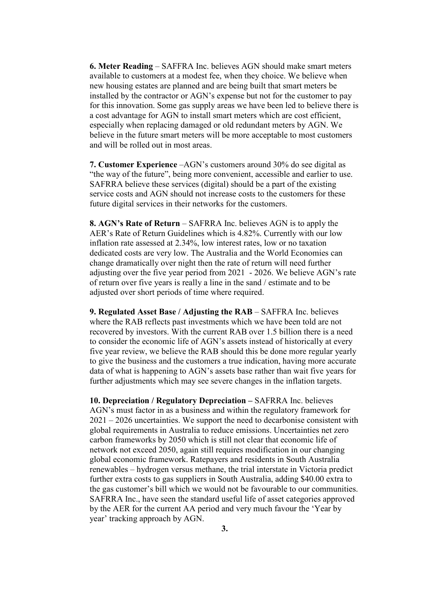**6. Meter Reading** – SAFFRA Inc. believes AGN should make smart meters available to customers at a modest fee, when they choice. We believe when new housing estates are planned and are being built that smart meters be installed by the contractor or AGN's expense but not for the customer to pay for this innovation. Some gas supply areas we have been led to believe there is a cost advantage for AGN to install smart meters which are cost efficient, especially when replacing damaged or old redundant meters by AGN. We believe in the future smart meters will be more acceptable to most customers and will be rolled out in most areas.

**7. Customer Experience** –AGN's customers around 30% do see digital as "the way of the future", being more convenient, accessible and earlier to use. SAFRRA believe these services (digital) should be a part of the existing service costs and AGN should not increase costs to the customers for these future digital services in their networks for the customers.

**8. AGN's Rate of Return** – SAFRRA Inc. believes AGN is to apply the AER's Rate of Return Guidelines which is 4.82%. Currently with our low inflation rate assessed at 2.34%, low interest rates, low or no taxation dedicated costs are very low. The Australia and the World Economies can change dramatically over night then the rate of return will need further adjusting over the five year period from 2021 - 2026. We believe AGN's rate of return over five years is really a line in the sand / estimate and to be adjusted over short periods of time where required.

**9. Regulated Asset Base / Adjusting the RAB** – SAFFRA Inc. believes where the RAB reflects past investments which we have been told are not recovered by investors. With the current RAB over 1.5 billion there is a need to consider the economic life of AGN's assets instead of historically at every five year review, we believe the RAB should this be done more regular yearly to give the business and the customers a true indication, having more accurate data of what is happening to AGN's assets base rather than wait five years for further adjustments which may see severe changes in the inflation targets.

**10. Depreciation / Regulatory Depreciation –** SAFRRA Inc. believes AGN's must factor in as a business and within the regulatory framework for 2021 – 2026 uncertainties. We support the need to decarbonise consistent with global requirements in Australia to reduce emissions. Uncertainties net zero carbon frameworks by 2050 which is still not clear that economic life of network not exceed 2050, again still requires modification in our changing global economic framework. Ratepayers and residents in South Australia renewables – hydrogen versus methane, the trial interstate in Victoria predict further extra costs to gas suppliers in South Australia, adding \$40.00 extra to the gas customer's bill which we would not be favourable to our communities. SAFRRA Inc., have seen the standard useful life of asset categories approved by the AER for the current AA period and very much favour the 'Year by year' tracking approach by AGN.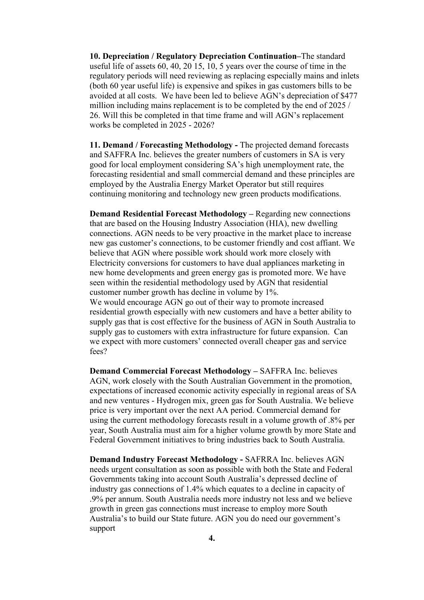**10. Depreciation / Regulatory Depreciation Continuation–**The standard useful life of assets 60, 40, 20 15, 10, 5 years over the course of time in the regulatory periods will need reviewing as replacing especially mains and inlets (both 60 year useful life) is expensive and spikes in gas customers bills to be avoided at all costs. We have been led to believe AGN's depreciation of \$477 million including mains replacement is to be completed by the end of 2025 / 26. Will this be completed in that time frame and will AGN's replacement works be completed in 2025 - 2026?

**11. Demand / Forecasting Methodology -** The projected demand forecasts and SAFFRA Inc. believes the greater numbers of customers in SA is very good for local employment considering SA's high unemployment rate, the forecasting residential and small commercial demand and these principles are employed by the Australia Energy Market Operator but still requires continuing monitoring and technology new green products modifications.

**Demand Residential Forecast Methodology –** Regarding new connections that are based on the Housing Industry Association (HIA), new dwelling connections. AGN needs to be very proactive in the market place to increase new gas customer's connections, to be customer friendly and cost affiant. We believe that AGN where possible work should work more closely with Electricity conversions for customers to have dual appliances marketing in new home developments and green energy gas is promoted more. We have seen within the residential methodology used by AGN that residential customer number growth has decline in volume by 1%. We would encourage AGN go out of their way to promote increased residential growth especially with new customers and have a better ability to supply gas that is cost effective for the business of AGN in South Australia to supply gas to customers with extra infrastructure for future expansion. Can we expect with more customers' connected overall cheaper gas and service fees?

**Demand Commercial Forecast Methodology –** SAFFRA Inc. believes AGN, work closely with the South Australian Government in the promotion, expectations of increased economic activity especially in regional areas of SA and new ventures - Hydrogen mix, green gas for South Australia. We believe price is very important over the next AA period. Commercial demand for using the current methodology forecasts result in a volume growth of .8% per year, South Australia must aim for a higher volume growth by more State and Federal Government initiatives to bring industries back to South Australia.

**Demand Industry Forecast Methodology -** SAFRRA Inc. believes AGN needs urgent consultation as soon as possible with both the State and Federal Governments taking into account South Australia's depressed decline of industry gas connections of 1.4% which equates to a decline in capacity of .9% per annum. South Australia needs more industry not less and we believe growth in green gas connections must increase to employ more South Australia's to build our State future. AGN you do need our government's support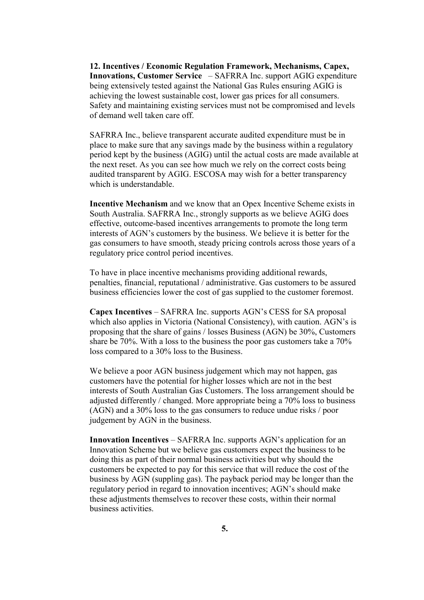**12. Incentives / Economic Regulation Framework, Mechanisms, Capex, Innovations, Customer Service** – SAFRRA Inc. support AGIG expenditure being extensively tested against the National Gas Rules ensuring AGIG is achieving the lowest sustainable cost, lower gas prices for all consumers. Safety and maintaining existing services must not be compromised and levels of demand well taken care off.

SAFRRA Inc., believe transparent accurate audited expenditure must be in place to make sure that any savings made by the business within a regulatory period kept by the business (AGIG) until the actual costs are made available at the next reset. As you can see how much we rely on the correct costs being audited transparent by AGIG. ESCOSA may wish for a better transparency which is understandable.

**Incentive Mechanism** and we know that an Opex Incentive Scheme exists in South Australia. SAFRRA Inc., strongly supports as we believe AGIG does effective, outcome-based incentives arrangements to promote the long term interests of AGN's customers by the business. We believe it is better for the gas consumers to have smooth, steady pricing controls across those years of a regulatory price control period incentives.

To have in place incentive mechanisms providing additional rewards, penalties, financial, reputational / administrative. Gas customers to be assured business efficiencies lower the cost of gas supplied to the customer foremost.

**Capex Incentives** – SAFRRA Inc. supports AGN's CESS for SA proposal which also applies in Victoria (National Consistency), with caution. AGN's is proposing that the share of gains / losses Business (AGN) be 30%, Customers share be 70%. With a loss to the business the poor gas customers take a 70% loss compared to a 30% loss to the Business.

We believe a poor AGN business judgement which may not happen, gas customers have the potential for higher losses which are not in the best interests of South Australian Gas Customers. The loss arrangement should be adjusted differently / changed. More appropriate being a 70% loss to business (AGN) and a 30% loss to the gas consumers to reduce undue risks / poor judgement by AGN in the business.

**Innovation Incentives** – SAFRRA Inc. supports AGN's application for an Innovation Scheme but we believe gas customers expect the business to be doing this as part of their normal business activities but why should the customers be expected to pay for this service that will reduce the cost of the business by AGN (suppling gas). The payback period may be longer than the regulatory period in regard to innovation incentives; AGN's should make these adjustments themselves to recover these costs, within their normal business activities.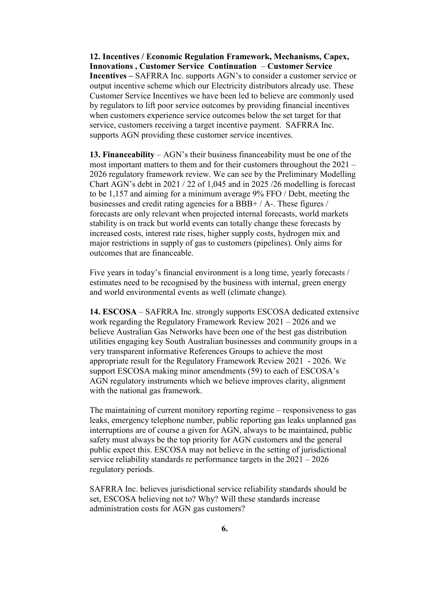**12. Incentives / Economic Regulation Framework, Mechanisms, Capex, Innovations , Customer Service Continuation** – **Customer Service Incentives –** SAFRRA Inc. supports AGN's to consider a customer service or output incentive scheme which our Electricity distributors already use. These Customer Service Incentives we have been led to believe are commonly used by regulators to lift poor service outcomes by providing financial incentives when customers experience service outcomes below the set target for that service, customers receiving a target incentive payment. SAFRRA Inc. supports AGN providing these customer service incentives.

**13. Financeability** – AGN's their business financeability must be one of the most important matters to them and for their customers throughout the 2021 – 2026 regulatory framework review. We can see by the Preliminary Modelling Chart AGN's debt in 2021 / 22 of 1,045 and in 2025 /26 modelling is forecast to be 1,157 and aiming for a minimum average 9% FFO / Debt, meeting the businesses and credit rating agencies for a BBB+ / A-. These figures / forecasts are only relevant when projected internal forecasts, world markets stability is on track but world events can totally change these forecasts by increased costs, interest rate rises, higher supply costs, hydrogen mix and major restrictions in supply of gas to customers (pipelines). Only aims for outcomes that are financeable.

Five years in today's financial environment is a long time, yearly forecasts / estimates need to be recognised by the business with internal, green energy and world environmental events as well (climate change).

**14. ESCOSA** – SAFRRA Inc. strongly supports ESCOSA dedicated extensive work regarding the Regulatory Framework Review 2021 – 2026 and we believe Australian Gas Networks have been one of the best gas distribution utilities engaging key South Australian businesses and community groups in a very transparent informative References Groups to achieve the most appropriate result for the Regulatory Framework Review 2021 - 2026. We support ESCOSA making minor amendments (59) to each of ESCOSA's AGN regulatory instruments which we believe improves clarity, alignment with the national gas framework.

The maintaining of current monitory reporting regime – responsiveness to gas leaks, emergency telephone number, public reporting gas leaks unplanned gas interruptions are of course a given for AGN, always to be maintained, public safety must always be the top priority for AGN customers and the general public expect this. ESCOSA may not believe in the setting of jurisdictional service reliability standards re performance targets in the 2021 – 2026 regulatory periods.

SAFRRA Inc. believes jurisdictional service reliability standards should be set, ESCOSA believing not to? Why? Will these standards increase administration costs for AGN gas customers?